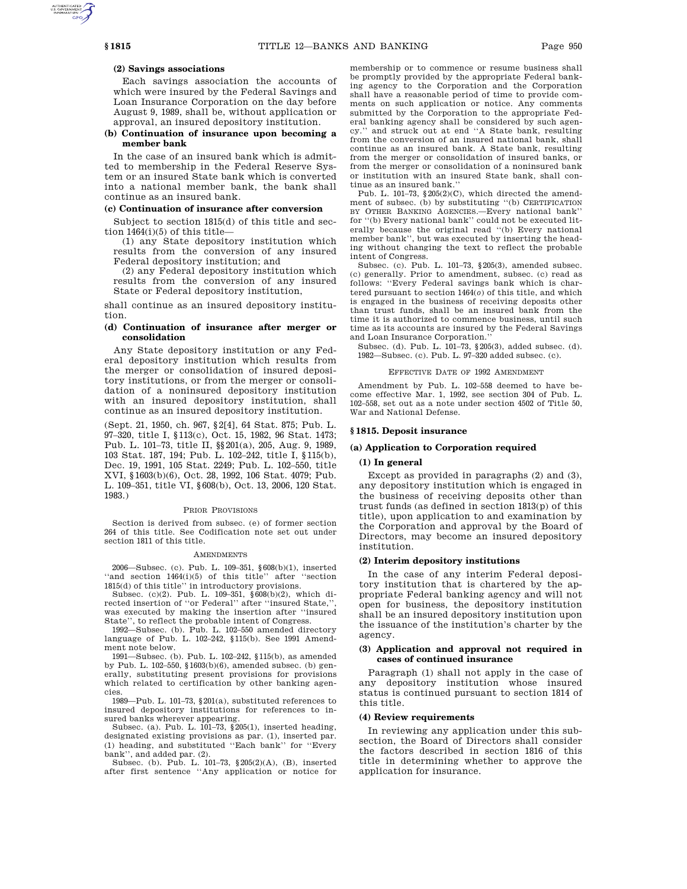# **(2) Savings associations**

Each savings association the accounts of which were insured by the Federal Savings and Loan Insurance Corporation on the day before August 9, 1989, shall be, without application or approval, an insured depository institution.

## **(b) Continuation of insurance upon becoming a member bank**

In the case of an insured bank which is admitted to membership in the Federal Reserve System or an insured State bank which is converted into a national member bank, the bank shall continue as an insured bank.

#### **(c) Continuation of insurance after conversion**

Subject to section 1815(d) of this title and section 1464(i)(5) of this title—

(1) any State depository institution which results from the conversion of any insured Federal depository institution; and

(2) any Federal depository institution which results from the conversion of any insured State or Federal depository institution,

shall continue as an insured depository institution.

#### **(d) Continuation of insurance after merger or consolidation**

Any State depository institution or any Federal depository institution which results from the merger or consolidation of insured depository institutions, or from the merger or consolidation of a noninsured depository institution with an insured depository institution, shall continue as an insured depository institution.

(Sept. 21, 1950, ch. 967, §2[4], 64 Stat. 875; Pub. L. 97–320, title I, §113(c), Oct. 15, 1982, 96 Stat. 1473; Pub. L. 101–73, title II, §§201(a), 205, Aug. 9, 1989, 103 Stat. 187, 194; Pub. L. 102–242, title I, §115(b), Dec. 19, 1991, 105 Stat. 2249; Pub. L. 102–550, title XVI, §1603(b)(6), Oct. 28, 1992, 106 Stat. 4079; Pub. L. 109–351, title VI, §608(b), Oct. 13, 2006, 120 Stat. 1983.)

#### PRIOR PROVISIONS

Section is derived from subsec. (e) of former section 264 of this title. See Codification note set out under section 1811 of this title.

## **AMENDMENTS**

2006—Subsec. (c). Pub. L. 109–351, §608(b)(1), inserted "and section 1464(i)(5) of this title" after "section 1815(d) of this title'' in introductory provisions.

Subsec. (c)(2). Pub. L. 109–351, §608(b)(2), which directed insertion of "or Federal" after "insured State," was executed by making the insertion after ''insured State'', to reflect the probable intent of Congress.

1992—Subsec. (b). Pub. L. 102–550 amended directory language of Pub. L. 102–242, §115(b). See 1991 Amendment note below.

1991—Subsec. (b). Pub. L. 102–242, §115(b), as amended by Pub. L. 102–550, §1603(b)(6), amended subsec. (b) generally, substituting present provisions for provisions which related to certification by other banking agencies.

1989—Pub. L. 101–73, §201(a), substituted references to insured depository institutions for references to in-

sured banks wherever appearing. Subsec. (a). Pub. L. 101–73, §205(1), inserted heading, designated existing provisions as par. (1), inserted par. (1) heading, and substituted ''Each bank'' for ''Every bank'', and added par. (2).

Subsec. (b). Pub. L. 101–73,  $\$205(2)(A)$ , (B), inserted after first sentence ''Any application or notice for membership or to commence or resume business shall be promptly provided by the appropriate Federal banking agency to the Corporation and the Corporation shall have a reasonable period of time to provide comments on such application or notice. Any comments submitted by the Corporation to the appropriate Federal banking agency shall be considered by such agency.'' and struck out at end ''A State bank, resulting from the conversion of an insured national bank, shall continue as an insured bank. A State bank, resulting from the merger or consolidation of insured banks, or from the merger or consolidation of a noninsured bank or institution with an insured State bank, shall continue as an insured bank.''

Pub. L. 101–73, §205(2)(C), which directed the amendment of subsec. (b) by substituting ''(b) CERTIFICATION BY OTHER BANKING AGENCIES.—Every national bank'' for "(b) Every national bank" could not be executed literally because the original read ''(b) Every national member bank'', but was executed by inserting the heading without changing the text to reflect the probable intent of Congress.

Subsec. (c). Pub. L. 101–73, §205(3), amended subsec. (c) generally. Prior to amendment, subsec. (c) read as follows: ''Every Federal savings bank which is chartered pursuant to section 1464(*o*) of this title, and which is engaged in the business of receiving deposits other than trust funds, shall be an insured bank from the time it is authorized to commence business, until such time as its accounts are insured by the Federal Savings and Loan Insurance Corporation.''

Subsec. (d). Pub. L. 101–73, §205(3), added subsec. (d). 1982—Subsec. (c). Pub. L. 97–320 added subsec. (c).

#### EFFECTIVE DATE OF 1992 AMENDMENT

Amendment by Pub. L. 102–558 deemed to have become effective Mar. 1, 1992, see section 304 of Pub. L. 102–558, set out as a note under section 4502 of Title 50, War and National Defense.

#### **§ 1815. Deposit insurance**

#### **(a) Application to Corporation required**

## **(1) In general**

Except as provided in paragraphs (2) and (3), any depository institution which is engaged in the business of receiving deposits other than trust funds (as defined in section 1813(p) of this title), upon application to and examination by the Corporation and approval by the Board of Directors, may become an insured depository institution.

# **(2) Interim depository institutions**

In the case of any interim Federal depository institution that is chartered by the appropriate Federal banking agency and will not open for business, the depository institution shall be an insured depository institution upon the issuance of the institution's charter by the agency.

# **(3) Application and approval not required in cases of continued insurance**

Paragraph (1) shall not apply in the case of any depository institution whose insured status is continued pursuant to section 1814 of this title.

#### **(4) Review requirements**

In reviewing any application under this subsection, the Board of Directors shall consider the factors described in section 1816 of this title in determining whether to approve the application for insurance.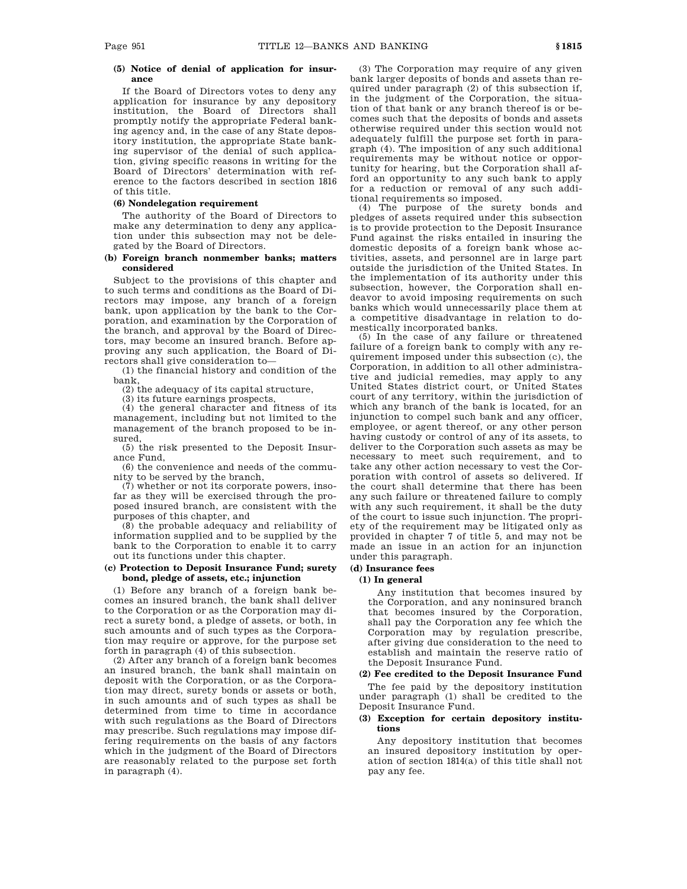# **(5) Notice of denial of application for insurance**

If the Board of Directors votes to deny any application for insurance by any depository institution, the Board of Directors shall promptly notify the appropriate Federal banking agency and, in the case of any State depository institution, the appropriate State banking supervisor of the denial of such application, giving specific reasons in writing for the Board of Directors' determination with reference to the factors described in section 1816 of this title.

## **(6) Nondelegation requirement**

The authority of the Board of Directors to make any determination to deny any application under this subsection may not be delegated by the Board of Directors.

## **(b) Foreign branch nonmember banks; matters considered**

Subject to the provisions of this chapter and to such terms and conditions as the Board of Directors may impose, any branch of a foreign bank, upon application by the bank to the Corporation, and examination by the Corporation of the branch, and approval by the Board of Directors, may become an insured branch. Before approving any such application, the Board of Directors shall give consideration to—

(1) the financial history and condition of the bank,

(2) the adequacy of its capital structure,

(3) its future earnings prospects,

(4) the general character and fitness of its management, including but not limited to the management of the branch proposed to be insured,

(5) the risk presented to the Deposit Insurance Fund,

(6) the convenience and needs of the community to be served by the branch,

(7) whether or not its corporate powers, insofar as they will be exercised through the proposed insured branch, are consistent with the purposes of this chapter, and

(8) the probable adequacy and reliability of information supplied and to be supplied by the bank to the Corporation to enable it to carry out its functions under this chapter.

## **(c) Protection to Deposit Insurance Fund; surety bond, pledge of assets, etc.; injunction**

(1) Before any branch of a foreign bank becomes an insured branch, the bank shall deliver to the Corporation or as the Corporation may direct a surety bond, a pledge of assets, or both, in such amounts and of such types as the Corporation may require or approve, for the purpose set forth in paragraph (4) of this subsection.

(2) After any branch of a foreign bank becomes an insured branch, the bank shall maintain on deposit with the Corporation, or as the Corporation may direct, surety bonds or assets or both, in such amounts and of such types as shall be determined from time to time in accordance with such regulations as the Board of Directors may prescribe. Such regulations may impose differing requirements on the basis of any factors which in the judgment of the Board of Directors are reasonably related to the purpose set forth in paragraph (4).

(3) The Corporation may require of any given bank larger deposits of bonds and assets than required under paragraph (2) of this subsection if, in the judgment of the Corporation, the situation of that bank or any branch thereof is or becomes such that the deposits of bonds and assets otherwise required under this section would not adequately fulfill the purpose set forth in paragraph (4). The imposition of any such additional requirements may be without notice or opportunity for hearing, but the Corporation shall afford an opportunity to any such bank to apply for a reduction or removal of any such additional requirements so imposed.

(4) The purpose of the surety bonds and pledges of assets required under this subsection is to provide protection to the Deposit Insurance Fund against the risks entailed in insuring the domestic deposits of a foreign bank whose activities, assets, and personnel are in large part outside the jurisdiction of the United States. In the implementation of its authority under this subsection, however, the Corporation shall endeavor to avoid imposing requirements on such banks which would unnecessarily place them at a competitive disadvantage in relation to domestically incorporated banks.

(5) In the case of any failure or threatened failure of a foreign bank to comply with any requirement imposed under this subsection (c), the Corporation, in addition to all other administrative and judicial remedies, may apply to any United States district court, or United States court of any territory, within the jurisdiction of which any branch of the bank is located, for an injunction to compel such bank and any officer, employee, or agent thereof, or any other person having custody or control of any of its assets, to deliver to the Corporation such assets as may be necessary to meet such requirement, and to take any other action necessary to vest the Corporation with control of assets so delivered. If the court shall determine that there has been any such failure or threatened failure to comply with any such requirement, it shall be the duty of the court to issue such injunction. The propriety of the requirement may be litigated only as provided in chapter 7 of title 5, and may not be made an issue in an action for an injunction under this paragraph.

# **(d) Insurance fees**

## **(1) In general**

Any institution that becomes insured by the Corporation, and any noninsured branch that becomes insured by the Corporation, shall pay the Corporation any fee which the Corporation may by regulation prescribe, after giving due consideration to the need to establish and maintain the reserve ratio of the Deposit Insurance Fund.

# **(2) Fee credited to the Deposit Insurance Fund**

The fee paid by the depository institution under paragraph (1) shall be credited to the Deposit Insurance Fund.

## **(3) Exception for certain depository institutions**

Any depository institution that becomes an insured depository institution by operation of section 1814(a) of this title shall not pay any fee.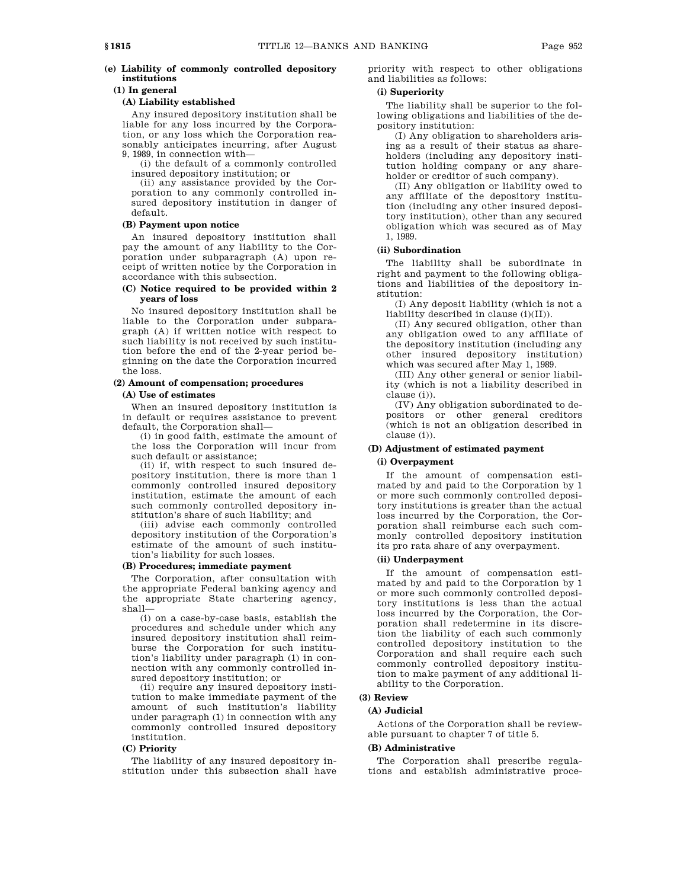# **(e) Liability of commonly controlled depository institutions**

# **(1) In general**

## **(A) Liability established**

Any insured depository institution shall be liable for any loss incurred by the Corporation, or any loss which the Corporation reasonably anticipates incurring, after August 9, 1989, in connection with—

(i) the default of a commonly controlled insured depository institution; or

(ii) any assistance provided by the Corporation to any commonly controlled insured depository institution in danger of default.

## **(B) Payment upon notice**

An insured depository institution shall pay the amount of any liability to the Corporation under subparagraph (A) upon receipt of written notice by the Corporation in accordance with this subsection.

# **(C) Notice required to be provided within 2 years of loss**

No insured depository institution shall be liable to the Corporation under subparagraph (A) if written notice with respect to such liability is not received by such institution before the end of the 2-year period beginning on the date the Corporation incurred the loss.

# **(2) Amount of compensation; procedures**

# **(A) Use of estimates**

When an insured depository institution is in default or requires assistance to prevent default, the Corporation shall—

(i) in good faith, estimate the amount of the loss the Corporation will incur from such default or assistance;

(ii) if, with respect to such insured depository institution, there is more than 1 commonly controlled insured depository institution, estimate the amount of each such commonly controlled depository institution's share of such liability; and

(iii) advise each commonly controlled depository institution of the Corporation's estimate of the amount of such institution's liability for such losses.

# **(B) Procedures; immediate payment**

The Corporation, after consultation with the appropriate Federal banking agency and the appropriate State chartering agency, shall—

(i) on a case-by-case basis, establish the procedures and schedule under which any insured depository institution shall reimburse the Corporation for such institution's liability under paragraph (1) in connection with any commonly controlled insured depository institution; or

(ii) require any insured depository institution to make immediate payment of the amount of such institution's liability under paragraph (1) in connection with any commonly controlled insured depository institution.

## **(C) Priority**

The liability of any insured depository institution under this subsection shall have priority with respect to other obligations and liabilities as follows:

## **(i) Superiority**

The liability shall be superior to the following obligations and liabilities of the depository institution:

(I) Any obligation to shareholders arising as a result of their status as shareholders (including any depository institution holding company or any shareholder or creditor of such company).

(II) Any obligation or liability owed to any affiliate of the depository institution (including any other insured depository institution), other than any secured obligation which was secured as of May 1, 1989.

## **(ii) Subordination**

The liability shall be subordinate in right and payment to the following obligations and liabilities of the depository institution:

(I) Any deposit liability (which is not a liability described in clause  $(i)(II)$ ).

(II) Any secured obligation, other than any obligation owed to any affiliate of the depository institution (including any other insured depository institution) which was secured after May 1, 1989.

(III) Any other general or senior liability (which is not a liability described in clause (i)).

(IV) Any obligation subordinated to depositors or other general creditors (which is not an obligation described in clause (i)).

# **(D) Adjustment of estimated payment**

## **(i) Overpayment**

If the amount of compensation estimated by and paid to the Corporation by 1 or more such commonly controlled depository institutions is greater than the actual loss incurred by the Corporation, the Corporation shall reimburse each such commonly controlled depository institution its pro rata share of any overpayment.

## **(ii) Underpayment**

If the amount of compensation estimated by and paid to the Corporation by 1 or more such commonly controlled depository institutions is less than the actual loss incurred by the Corporation, the Corporation shall redetermine in its discretion the liability of each such commonly controlled depository institution to the Corporation and shall require each such commonly controlled depository institution to make payment of any additional liability to the Corporation.

# **(3) Review**

# **(A) Judicial**

Actions of the Corporation shall be reviewable pursuant to chapter 7 of title 5.

# **(B) Administrative**

The Corporation shall prescribe regulations and establish administrative proce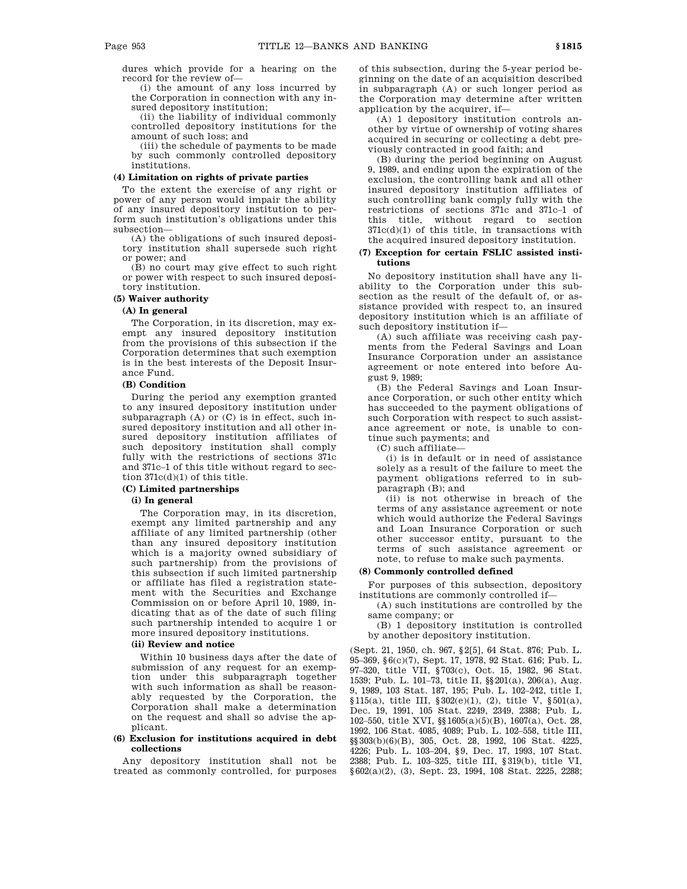dures which provide for a hearing on the record for the review of—

(i) the amount of any loss incurred by the Corporation in connection with any insured depository institution;

(ii) the liability of individual commonly controlled depository institutions for the amount of such loss; and

(iii) the schedule of payments to be made by such commonly controlled depository institutions.

# **(4) Limitation on rights of private parties**

To the extent the exercise of any right or power of any person would impair the ability of any insured depository institution to perform such institution's obligations under this subsection—

(A) the obligations of such insured depository institution shall supersede such right or power; and

 $(\bar{B})$  no court may give effect to such right or power with respect to such insured depository institution.

#### **(5) Waiver authority**

#### **(A) In general**

The Corporation, in its discretion, may exempt any insured depository institution from the provisions of this subsection if the Corporation determines that such exemption is in the best interests of the Deposit Insurance Fund.

#### **(B) Condition**

During the period any exemption granted to any insured depository institution under subparagraph  $(A)$  or  $(C)$  is in effect, such insured depository institution and all other insured depository institution affiliates of such depository institution shall comply fully with the restrictions of sections 371c and 371c–1 of this title without regard to section 371c(d)(1) of this title.

# **(C) Limited partnerships**

## **(i) In general**

The Corporation may, in its discretion, exempt any limited partnership and any affiliate of any limited partnership (other than any insured depository institution which is a majority owned subsidiary of such partnership) from the provisions of this subsection if such limited partnership or affiliate has filed a registration statement with the Securities and Exchange Commission on or before April 10, 1989, indicating that as of the date of such filing such partnership intended to acquire 1 or more insured depository institutions.

## **(ii) Review and notice**

Within 10 business days after the date of submission of any request for an exemption under this subparagraph together with such information as shall be reasonably requested by the Corporation, the Corporation shall make a determination on the request and shall so advise the applicant.

# **(6) Exclusion for institutions acquired in debt collections**

Any depository institution shall not be treated as commonly controlled, for purposes of this subsection, during the 5-year period beginning on the date of an acquisition described in subparagraph (A) or such longer period as the Corporation may determine after written application by the acquirer, if—

(A) 1 depository institution controls another by virtue of ownership of voting shares acquired in securing or collecting a debt previously contracted in good faith; and

(B) during the period beginning on August 9, 1989, and ending upon the expiration of the exclusion, the controlling bank and all other insured depository institution affiliates of such controlling bank comply fully with the restrictions of sections 371c and 371c–1 of<br>this title without regard to section without regard to section 371c(d)(1) of this title, in transactions with the acquired insured depository institution.

## **(7) Exception for certain FSLIC assisted institutions**

No depository institution shall have any liability to the Corporation under this subsection as the result of the default of, or assistance provided with respect to, an insured depository institution which is an affiliate of such depository institution if—

(A) such affiliate was receiving cash payments from the Federal Savings and Loan Insurance Corporation under an assistance agreement or note entered into before August 9, 1989;

(B) the Federal Savings and Loan Insurance Corporation, or such other entity which has succeeded to the payment obligations of such Corporation with respect to such assistance agreement or note, is unable to continue such payments; and

(C) such affiliate—

(i) is in default or in need of assistance solely as a result of the failure to meet the payment obligations referred to in subparagraph (B); and

(ii) is not otherwise in breach of the terms of any assistance agreement or note which would authorize the Federal Savings and Loan Insurance Corporation or such other successor entity, pursuant to the terms of such assistance agreement or note, to refuse to make such payments.

## **(8) Commonly controlled defined**

For purposes of this subsection, depository institutions are commonly controlled if—

(A) such institutions are controlled by the same company; or

(B) 1 depository institution is controlled by another depository institution.

(Sept. 21, 1950, ch. 967, §2[5], 64 Stat. 876; Pub. L. 95–369, §6(c)(7), Sept. 17, 1978, 92 Stat. 616; Pub. L. 97–320, title VII, §703(c), Oct. 15, 1982, 96 Stat. 1539; Pub. L. 101–73, title II, §§201(a), 206(a), Aug. 9, 1989, 103 Stat. 187, 195; Pub. L. 102–242, title I, §115(a), title III, §302(e)(1), (2), title V, §501(a), Dec. 19, 1991, 105 Stat. 2249, 2349, 2388; Pub. L. 102–550, title XVI, §§1605(a)(5)(B), 1607(a), Oct. 28, 1992, 106 Stat. 4085, 4089; Pub. L. 102–558, title III, §§303(b)(6)(B), 305, Oct. 28, 1992, 106 Stat. 4225, 4226; Pub. L. 103–204, §9, Dec. 17, 1993, 107 Stat. 2388; Pub. L. 103–325, title III, §319(b), title VI, §602(a)(2), (3), Sept. 23, 1994, 108 Stat. 2225, 2288;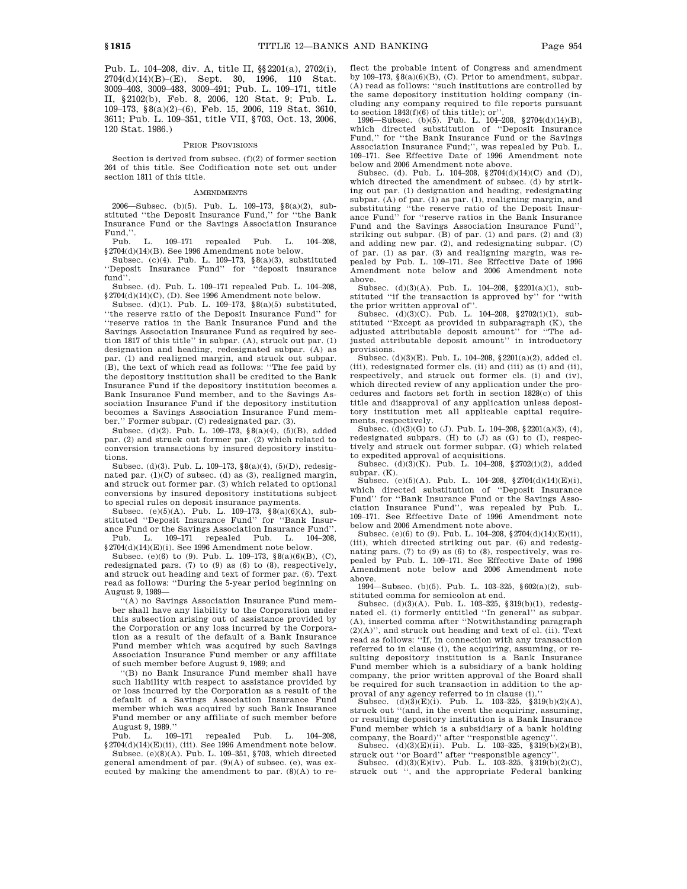Pub. L. 104–208, div. A, title II, §§2201(a), 2702(i), 2704(d)(14)(B)–(E), Sept. 30, 1996, 110 Stat. 3009–403, 3009–483, 3009–491; Pub. L. 109–171, title II, §2102(b), Feb. 8, 2006, 120 Stat. 9; Pub. L. 109–173, §8(a)(2)–(6), Feb. 15, 2006, 119 Stat. 3610, 3611; Pub. L. 109–351, title VII, §703, Oct. 13, 2006, 120 Stat. 1986.)

#### PRIOR PROVISIONS

Section is derived from subsec. (f)(2) of former section 264 of this title. See Codification note set out under section 1811 of this title.

#### **AMENDMENTS**

2006—Subsec. (b)(5). Pub. L. 109–173, §8(a)(2), substituted ''the Deposit Insurance Fund,'' for ''the Bank Insurance Fund or the Savings Association Insurance Fund,''.

Pub. L. 109–171 repealed Pub. L. 104–208, §2704(d)(14)(B). See 1996 Amendment note below.

Subsec. (c)(4). Pub. L. 109–173, §8(a)(3), substituted ''Deposit Insurance Fund'' for ''deposit insurance fund''.

Subsec. (d). Pub. L. 109–171 repealed Pub. L. 104–208,  $82704(d)(14)(C)$ , (D). See 1996 Amendment note below.

Subsec. (d)(1). Pub. L. 109–173, §8(a)(5) substituted, ''the reserve ratio of the Deposit Insurance Fund'' for ''reserve ratios in the Bank Insurance Fund and the Savings Association Insurance Fund as required by section 1817 of this title'' in subpar. (A), struck out par. (1) designation and heading, redesignated subpar. (A) as par. (1) and realigned margin, and struck out subpar. (B), the text of which read as follows: ''The fee paid by the depository institution shall be credited to the Bank Insurance Fund if the depository institution becomes a Bank Insurance Fund member, and to the Savings Association Insurance Fund if the depository institution becomes a Savings Association Insurance Fund member.'' Former subpar. (C) redesignated par. (3).

Subsec. (d)(2). Pub. L. 109–173, §8(a)(4), (5)(B), added par. (2) and struck out former par. (2) which related to conversion transactions by insured depository institutions.

Subsec. (d)(3). Pub. L. 109–173, §8(a)(4), (5)(D), redesignated par. (1)(C) of subsec. (d) as (3), realigned margin, and struck out former par. (3) which related to optional conversions by insured depository institutions subject to special rules on deposit insurance payments.

Subsec. (e)(5)(A). Pub. L. 109–173,  $\S 8(a)(6)(A)$ , substituted ''Deposit Insurance Fund'' for ''Bank Insurance Fund or the Savings Association Insurance Fund''. Pub. L. 109–171 repealed Pub. L. 104–208,  $\frac{2704(d)(14)(E)(i)}{2704(d)(14)(E)(i)}$ . See 1996 Amendment note below.

Subsec. (e)(6) to (9). Pub. L. 109–173, §8(a)(6)(B), (C), redesignated pars. (7) to (9) as (6) to (8), respectively, and struck out heading and text of former par. (6). Text read as follows: ''During the 5-year period beginning on August 9, 1989—

''(A) no Savings Association Insurance Fund member shall have any liability to the Corporation under this subsection arising out of assistance provided by the Corporation or any loss incurred by the Corporation as a result of the default of a Bank Insurance Fund member which was acquired by such Savings Association Insurance Fund member or any affiliate of such member before August 9, 1989; and

''(B) no Bank Insurance Fund member shall have such liability with respect to assistance provided by or loss incurred by the Corporation as a result of the default of a Savings Association Insurance Fund member which was acquired by such Bank Insurance Fund member or any affiliate of such member before August 9, 1989."<br>Pub. L. 109-171

Pub. L. 109–171 repealed Pub. L. 104–208, §2704(d)(14)(E)(ii), (iii). See 1996 Amendment note below.

Subsec. (e)(8)(A). Pub. L. 109–351,  $\S 703,$  which directed general amendment of par. (9)(A) of subsec. (e), was executed by making the amendment to par.  $(8)(A)$  to reflect the probable intent of Congress and amendment by 109–173,  $§8(a)(6)(B)$ , (C). Prior to amendment, subpar. (A) read as follows: ''such institutions are controlled by the same depository institution holding company (including any company required to file reports pursuant to section  $1843(f)(6)$  of this title); or".

1996—Subsec. (b)(5). Pub. L. 104–208, §2704(d)(14)(B), which directed substitution of "Deposit Insurance Fund,"<br>Fund," for "the Bank Insurance Fund or the Savings<br>Association Insurance Fund;", was repealed by Pub. L. 109–171. See Effective Date of 1996 Amendment note below and 2006 Amendment note above.

Subsec. (d). Pub. L.  $104-208$ ,  $$2704(d)(14)(C)$  and (D), which directed the amendment of subsec. (d) by striking out par. (1) designation and heading, redesignating subpar. (A) of par. (1) as par. (1), realigning margin, and substituting ''the reserve ratio of the Deposit Insur-ance Fund'' for ''reserve ratios in the Bank Insurance Fund and the Savings Association Insurance Fund'', striking out subpar. (B) of par. (1) and pars. (2) and (3) and adding new par. (2), and redesignating subpar. (C) of par. (1) as par. (3) and realigning margin, was repealed by Pub. L. 109–171. See Effective Date of 1996 Amendment note below and 2006 Amendment note above.

Subsec. (d)(3)(A). Pub. L. 104–208, §2201(a)(1), substituted ''if the transaction is approved by'' for ''with the prior written approval of''.

Subsec. (d)(3)(C). Pub. L. 104–208, §2702(i)(1), substituted ''Except as provided in subparagraph (K), the adjusted attributable deposit amount'' for ''The adjusted attributable deposit amount'' in introductory provisions.

Subsec. (d)(3)(E). Pub. L. 104–208, §2201(a)(2), added cl. (iii), redesignated former cls. (ii) and (iii) as (i) and (ii), respectively, and struck out former cls. (i) and (iv), which directed review of any application under the procedures and factors set forth in section 1828(c) of this title and disapproval of any application unless depository institution met all applicable capital requirements, respectively.

Subsec. (d)(3)(G) to (J). Pub. L. 104–208, §2201(a)(3), (4), redesignated subpars. (H) to (J) as (G) to (I), respectively and struck out former subpar. (G) which related to expedited approval of acquisitions.

Subsec.  $(d)(\bar{3})(K)$ . Pub. L. 104–208, §2702(i)(2), added

subpar. (K). Subsec. (e)(5)(A). Pub. L. 104–208, §2704(d)(14)(E)(i), which directed substitution of "Deposit Insurance" Fund'' for ''Bank Insurance Fund or the Savings Association Insurance Fund'', was repealed by Pub. L. 109–171. See Effective Date of 1996 Amendment note

below and 2006 Amendment note above. Subsec. (e)(6) to (9). Pub. L. 104–208, §2704(d)(14)(E)(ii), (iii), which directed striking out par. (6) and redesignating pars. (7) to (9) as (6) to (8), respectively, was repealed by Pub. L. 109–171. See Effective Date of 1996 Amendment note below and 2006 Amendment note above.

1994—Subsec. (b)(5). Pub. L. 103–325, §602(a)(2), substituted comma for semicolon at end.

Subsec. (d)(3)(A). Pub. L. 103–325, §319(b)(1), redesignated cl. (i) formerly entitled ''In general'' as subpar. (A), inserted comma after ''Notwithstanding paragraph  $(2)(A)$ ", and struck out heading and text of cl. (ii). Text read as follows: ''If, in connection with any transaction referred to in clause (i), the acquiring, assuming, or resulting depository institution is a Bank Insurance Fund member which is a subsidiary of a bank holding company, the prior written approval of the Board shall be required for such transaction in addition to the approval of any agency referred to in clause (i).

Subsec. (d)(3)(E)(i). Pub. L. 103–325,  $\sqrt{\frac{3}{2}}$ (b)(2)(A), struck out ''(and, in the event the acquiring, assuming, or resulting depository institution is a Bank Insurance Fund member which is a subsidiary of a bank holding company, the Board)" after "responsible agency

Subsec. (d)(3)(E)(ii). Pub. L. 103–325, §319(b)(2)(B), struck out "or Board" after "responsible agency".<br>Subsec. (d)(3)(E)(iv). Pub. L. 103–325, §319(b)(2)(C),

struck out '', and the appropriate Federal banking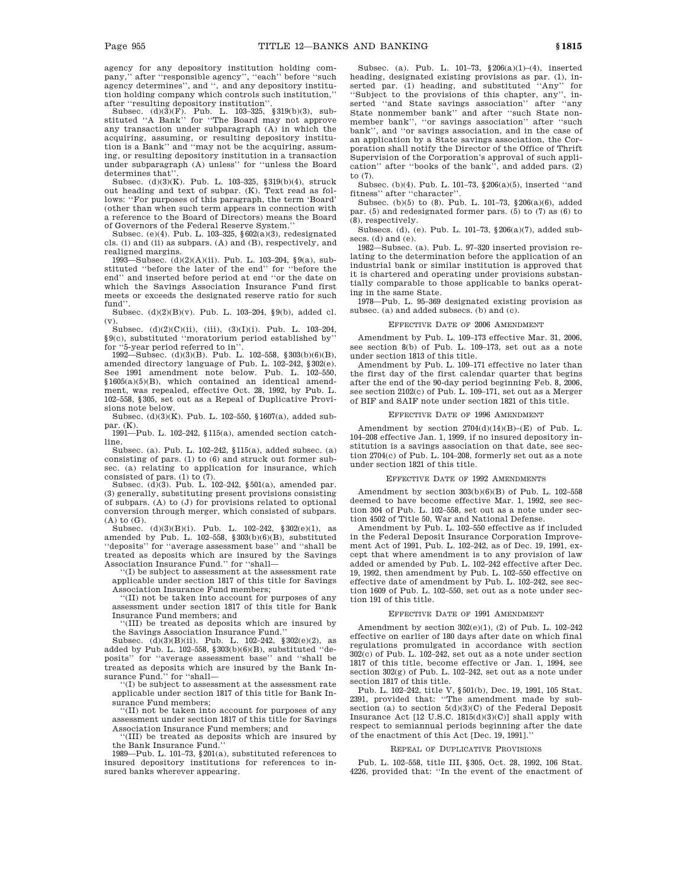agency for any depository institution holding company,'' after ''responsible agency'', ''each'' before ''such agency determines'', and '', and any depository institution holding company which controls such institution,'' after ''resulting depository institution''.

Subsec. (d)(3)(F). Pub. L. 103–325, §319(b)(3), sub-stituted ''A Bank'' for ''The Board may not approve any transaction under subparagraph (A) in which the acquiring, assuming, or resulting depository institu-tion is a Bank'' and ''may not be the acquiring, assuming, or resulting depository institution in a transaction under subparagraph (A) unless'' for ''unless the Board determines that''.

Subsec. (d)(3)(K). Pub. L. 103-325, §319(b)(4), struck out heading and text of subpar. (K). Text read as follows: ''For purposes of this paragraph, the term 'Board' (other than when such term appears in connection with a reference to the Board of Directors) means the Board of Governors of the Federal Reserve System.''

Subsec.  $(e)(4)$ . Pub. L. 103–325,  $§ 602(a)(3)$ , redesignated cls. (i) and (ii) as subpars. (A) and (B), respectively, and realigned margins.

1993—Subsec. (d)(2)(A)(ii). Pub. L. 103–204, §9(a), substituted ''before the later of the end'' for ''before the end'' and inserted before period at end ''or the date on which the Savings Association Insurance Fund first meets or exceeds the designated reserve ratio for such fund''.

Subsec. (d)(2)(B)(v). Pub. L. 103–204, §9(b), added cl.

(v). Subsec. (d)(2)(C)(ii), (iii), (3)(I)(i). Pub. L. 103–204, §9(c), substituted ''moratorium period established by'' for ''5-year period referred to in''.

1992—Subsec. (d)(3)(B). Pub. L. 102–558, §303(b)(6)(B), amended directory language of Pub. L. 102–242, §302(e). See 1991 amendment note below. Pub. L. 102–550, §1605(a)(5)(B), which contained an identical amendment, was repealed, effective Oct. 28, 1992, by Pub. L. 102–558, §305, set out as a Repeal of Duplicative Provisions note below.

Subsec. (d)(3)(K). Pub. L. 102–550, §1607(a), added subpar. (K).

1991—Pub. L. 102–242, §115(a), amended section catchline.

Subsec. (a). Pub. L. 102–242, §115(a), added subsec. (a) consisting of pars. (1) to (6) and struck out former subsec. (a) relating to application for insurance, which consisted of pars. (1) to (7).

Subsec.  $(d)(3)$ . Pub. L. 102–242, §501(a), amended par. (3) generally, substituting present provisions consisting of subpars. (A) to (J) for provisions related to optional conversion through merger, which consisted of subpars. (A) to (G).

Subsec. (d)(3)(B)(i). Pub. L. 102–242, §302(e)(1), as amended by Pub. L. 102–558, §303(b)(6)(B), substituted ''deposits'' for ''average assessment base'' and ''shall be treated as deposits which are insured by the Savings Association Insurance Fund.'' for ''shall—

''(I) be subject to assessment at the assessment rate applicable under section 1817 of this title for Savings Association Insurance Fund members;

''(II) not be taken into account for purposes of any assessment under section 1817 of this title for Bank Insurance Fund members; and

''(III) be treated as deposits which are insured by the Savings Association Insurance Fund.'' Subsec. (d)(3)(B)(ii). Pub. L. 102–242, §302(e)(2), as

added by Pub. L. 102–558, §303(b)(6)(B), substituted ''deposits'' for ''average assessment base'' and ''shall be treated as deposits which are insured by the Bank Insurance Fund." for "shall-

'(I) be subject to assessment at the assessment rate applicable under section 1817 of this title for Bank Insurance Fund members;

''(II) not be taken into account for purposes of any assessment under section 1817 of this title for Savings Association Insurance Fund members; and

''(III) be treated as deposits which are insured by the Bank Insurance Fund.''

1989—Pub. L. 101–73,  $\S\,201(a),$  substituted references to insured depository institutions for references to insured banks wherever appearing.

Subsec. (a). Pub. L. 101–73, §206(a)(1)–(4), inserted heading, designated existing provisions as par. (1), inserted par.  $(1)$  heading, and substituted "Any" ''Subject to the provisions of this chapter, any'', inserted ''and State savings association'' after ''any State nonmember bank'' and after ''such State nonmember bank", "or savings association" after "such bank'', and ''or savings association, and in the case of an application by a State savings association, the Corporation shall notify the Director of the Office of Thrift Supervision of the Corporation's approval of such application'' after ''books of the bank'', and added pars. (2) to (7).

Subsec. (b)(4). Pub. L. 101–73, §206(a)(5), inserted ''and fitness'' after ''character''.

Subsec. (b)(5) to (8). Pub. L. 101–73,  $\frac{$206(a)(6)}{6}$ , added par. (5) and redesignated former pars. (5) to (7) as (6) to (8), respectively.

Subsecs. (d), (e). Pub. L. 101–73, §206(a)(7), added subsecs. (d) and (e).

1982—Subsec. (a). Pub. L. 97–320 inserted provision relating to the determination before the application of an industrial bank or similar institution is approved that it is chartered and operating under provisions substantially comparable to those applicable to banks operating in the same State.

1978—Pub. L. 95–369 designated existing provision as subsec. (a) and added subsecs. (b) and (c).

#### EFFECTIVE DATE OF 2006 AMENDMENT

Amendment by Pub. L. 109–173 effective Mar. 31, 2006, see section 8(b) of Pub. L. 109–173, set out as a note under section 1813 of this title.

Amendment by Pub. L. 109–171 effective no later than the first day of the first calendar quarter that begins after the end of the 90-day period beginning Feb. 8, 2006, see section 2102(c) of Pub. L. 109–171, set out as a Merger of BIF and SAIF note under section 1821 of this title.

#### EFFECTIVE DATE OF 1996 AMENDMENT

Amendment by section  $2704(d)(14)(B)$ –(E) of Pub. L. 104–208 effective Jan. 1, 1999, if no insured depository institution is a savings association on that date, see section 2704(c) of Pub. L. 104–208, formerly set out as a note under section 1821 of this title.

#### EFFECTIVE DATE OF 1992 AMENDMENTS

Amendment by section  $303(b)(6)(B)$  of Pub. L. 102-558 deemed to have become effective Mar. 1, 1992, see section 304 of Pub. L. 102–558, set out as a note under section 4502 of Title 50, War and National Defense.

Amendment by Pub. L. 102–550 effective as if included in the Federal Deposit Insurance Corporation Improvement Act of 1991, Pub. L. 102–242, as of Dec. 19, 1991, except that where amendment is to any provision of law added or amended by Pub. L. 102–242 effective after Dec. 19, 1992, then amendment by Pub. L. 102–550 effective on effective date of amendment by Pub. L. 102–242, see section 1609 of Pub. L. 102–550, set out as a note under section 191 of this title.

#### EFFECTIVE DATE OF 1991 AMENDMENT

Amendment by section 302(e)(1), (2) of Pub. L. 102–242 effective on earlier of 180 days after date on which final regulations promulgated in accordance with section 302(c) of Pub. L. 102–242, set out as a note under section 1817 of this title, become effective or Jan. 1, 1994, see section 302(g) of Pub. L. 102–242, set out as a note under section 1817 of this title.

Pub. L. 102–242, title V, §501(b), Dec. 19, 1991, 105 Stat. 2391, provided that: ''The amendment made by subsection (a) to section  $5(d)(3)(C)$  of the Federal Deposit Insurance Act [12 U.S.C.  $1815(d)(3)(C)$ ] shall apply with respect to semiannual periods beginning after the date of the enactment of this Act [Dec. 19, 1991].''

#### REPEAL OF DUPLICATIVE PROVISIONS

Pub. L. 102–558, title III, §305, Oct. 28, 1992, 106 Stat. 4226, provided that: ''In the event of the enactment of